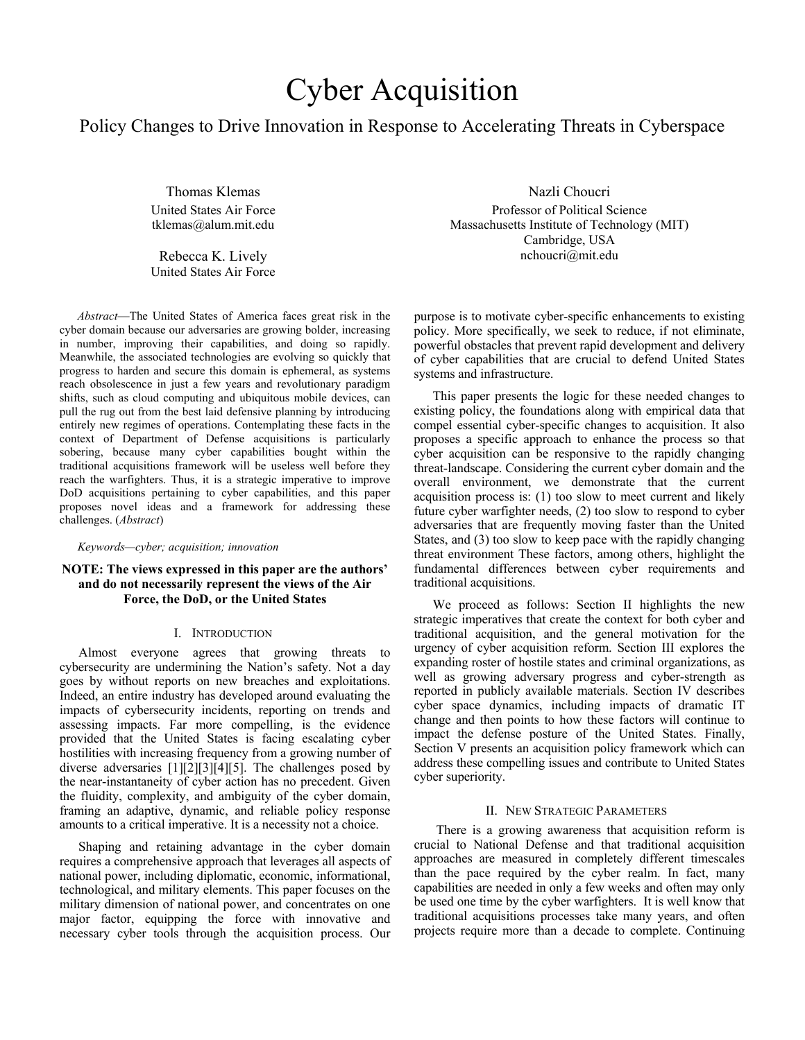# Cyber Acquisition

# Policy Changes to Drive Innovation in Response to Accelerating Threats in Cyberspace

Thomas Klemas United States Air Force tklemas@alum.mit.edu

Rebecca K. Lively United States Air Force

*Abstract*—The United States of America faces great risk in the cyber domain because our adversaries are growing bolder, increasing in number, improving their capabilities, and doing so rapidly. Meanwhile, the associated technologies are evolving so quickly that progress to harden and secure this domain is ephemeral, as systems reach obsolescence in just a few years and revolutionary paradigm shifts, such as cloud computing and ubiquitous mobile devices, can pull the rug out from the best laid defensive planning by introducing entirely new regimes of operations. Contemplating these facts in the context of Department of Defense acquisitions is particularly sobering, because many cyber capabilities bought within the traditional acquisitions framework will be useless well before they reach the warfighters. Thus, it is a strategic imperative to improve DoD acquisitions pertaining to cyber capabilities, and this paper proposes novel ideas and a framework for addressing these challenges. (*Abstract*)

#### *Keywords—cyber; acquisition; innovation*

## **NOTE: The views expressed in this paper are the authors' and do not necessarily represent the views of the Air Force, the DoD, or the United States**

#### I. INTRODUCTION

Almost everyone agrees that growing threats to cybersecurity are undermining the Nation's safety. Not a day goes by without reports on new breaches and exploitations. Indeed, an entire industry has developed around evaluating the impacts of cybersecurity incidents, reporting on trends and assessing impacts. Far more compelling, is the evidence provided that the United States is facing escalating cyber hostilities with increasing frequency from a growing number of diverse adversaries [1][2][3][4][5]. The challenges posed by the near-instantaneity of cyber action has no precedent. Given the fluidity, complexity, and ambiguity of the cyber domain, framing an adaptive, dynamic, and reliable policy response amounts to a critical imperative. It is a necessity not a choice.

Shaping and retaining advantage in the cyber domain requires a comprehensive approach that leverages all aspects of national power, including diplomatic, economic, informational, technological, and military elements. This paper focuses on the military dimension of national power, and concentrates on one major factor, equipping the force with innovative and necessary cyber tools through the acquisition process. Our

Nazli Choucri Professor of Political Science

Massachusetts Institute of Technology (MIT) Cambridge, USA nchoucri@mit.edu

purpose is to motivate cyber-specific enhancements to existing policy. More specifically, we seek to reduce, if not eliminate, powerful obstacles that prevent rapid development and delivery of cyber capabilities that are crucial to defend United States systems and infrastructure.

This paper presents the logic for these needed changes to existing policy, the foundations along with empirical data that compel essential cyber-specific changes to acquisition. It also proposes a specific approach to enhance the process so that cyber acquisition can be responsive to the rapidly changing threat-landscape. Considering the current cyber domain and the overall environment, we demonstrate that the current acquisition process is: (1) too slow to meet current and likely future cyber warfighter needs, (2) too slow to respond to cyber adversaries that are frequently moving faster than the United States, and (3) too slow to keep pace with the rapidly changing threat environment These factors, among others, highlight the fundamental differences between cyber requirements and traditional acquisitions.

We proceed as follows: Section II highlights the new strategic imperatives that create the context for both cyber and traditional acquisition, and the general motivation for the urgency of cyber acquisition reform. Section III explores the expanding roster of hostile states and criminal organizations, as well as growing adversary progress and cyber-strength as reported in publicly available materials. Section IV describes cyber space dynamics, including impacts of dramatic IT change and then points to how these factors will continue to impact the defense posture of the United States. Finally, Section V presents an acquisition policy framework which can address these compelling issues and contribute to United States cyber superiority.

#### II. NEW STRATEGIC PARAMETERS

There is a growing awareness that acquisition reform is crucial to National Defense and that traditional acquisition approaches are measured in completely different timescales than the pace required by the cyber realm. In fact, many capabilities are needed in only a few weeks and often may only be used one time by the cyber warfighters. It is well know that traditional acquisitions processes take many years, and often projects require more than a decade to complete. Continuing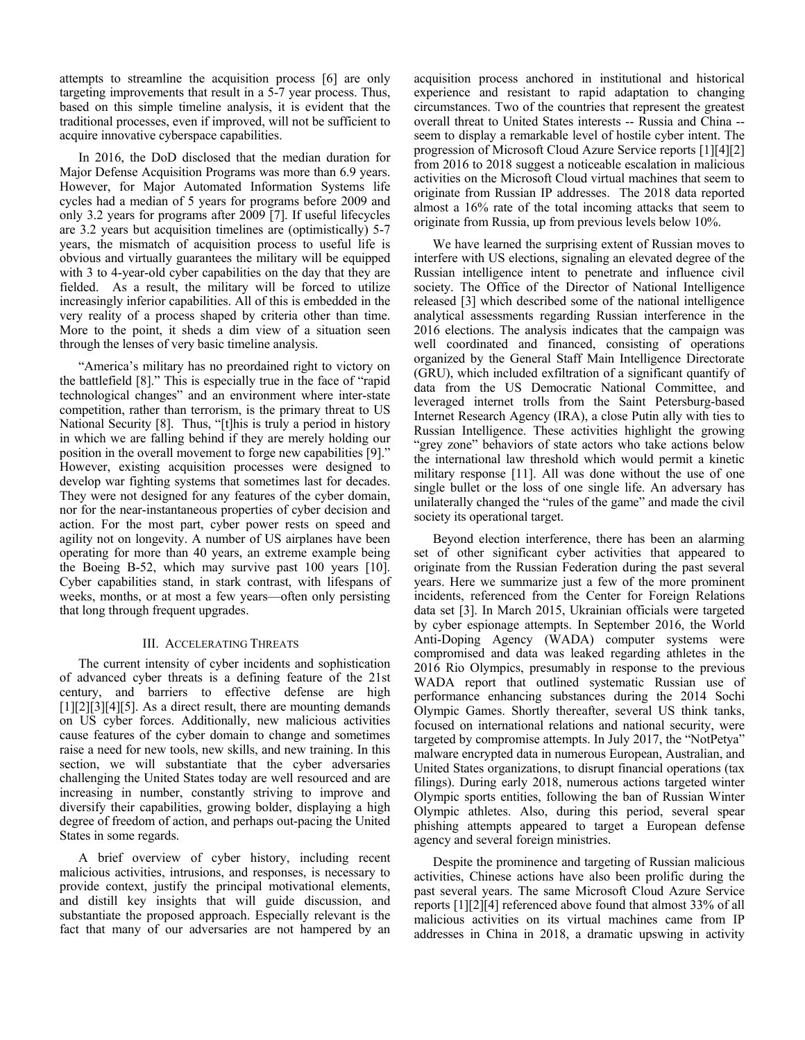attempts to streamline the acquisition process [6] are only targeting improvements that result in a 5-7 year process. Thus, based on this simple timeline analysis, it is evident that the traditional processes, even if improved, will not be sufficient to acquire innovative cyberspace capabilities.

In 2016, the DoD disclosed that the median duration for Major Defense Acquisition Programs was more than 6.9 years. However, for Major Automated Information Systems life cycles had a median of 5 years for programs before 2009 and only 3.2 years for programs after 2009 [7]. If useful lifecycles are 3.2 years but acquisition timelines are (optimistically) 5-7 years, the mismatch of acquisition process to useful life is obvious and virtually guarantees the military will be equipped with 3 to 4-year-old cyber capabilities on the day that they are fielded. As a result, the military will be forced to utilize increasingly inferior capabilities. All of this is embedded in the very reality of a process shaped by criteria other than time. More to the point, it sheds a dim view of a situation seen through the lenses of very basic timeline analysis.

"America's military has no preordained right to victory on the battlefield [8]." This is especially true in the face of "rapid technological changes" and an environment where inter-state competition, rather than terrorism, is the primary threat to US National Security [8]. Thus, "[t]his is truly a period in history in which we are falling behind if they are merely holding our position in the overall movement to forge new capabilities [9]." However, existing acquisition processes were designed to develop war fighting systems that sometimes last for decades. They were not designed for any features of the cyber domain, nor for the near-instantaneous properties of cyber decision and action. For the most part, cyber power rests on speed and agility not on longevity. A number of US airplanes have been operating for more than 40 years, an extreme example being the Boeing B-52, which may survive past 100 years [10]. Cyber capabilities stand, in stark contrast, with lifespans of weeks, months, or at most a few years—often only persisting that long through frequent upgrades.

#### III. ACCELERATING THREATS

The current intensity of cyber incidents and sophistication of advanced cyber threats is a defining feature of the 21st century, and barriers to effective defense are high [1][2][3][4][5]. As a direct result, there are mounting demands on US cyber forces. Additionally, new malicious activities cause features of the cyber domain to change and sometimes raise a need for new tools, new skills, and new training. In this section, we will substantiate that the cyber adversaries challenging the United States today are well resourced and are increasing in number, constantly striving to improve and diversify their capabilities, growing bolder, displaying a high degree of freedom of action, and perhaps out-pacing the United States in some regards.

A brief overview of cyber history, including recent malicious activities, intrusions, and responses, is necessary to provide context, justify the principal motivational elements, and distill key insights that will guide discussion, and substantiate the proposed approach. Especially relevant is the fact that many of our adversaries are not hampered by an

acquisition process anchored in institutional and historical experience and resistant to rapid adaptation to changing circumstances. Two of the countries that represent the greatest overall threat to United States interests -- Russia and China - seem to display a remarkable level of hostile cyber intent. The progression of Microsoft Cloud Azure Service reports [1][4][2] from 2016 to 2018 suggest a noticeable escalation in malicious activities on the Microsoft Cloud virtual machines that seem to originate from Russian IP addresses. The 2018 data reported almost a 16% rate of the total incoming attacks that seem to originate from Russia, up from previous levels below 10%.

We have learned the surprising extent of Russian moves to interfere with US elections, signaling an elevated degree of the Russian intelligence intent to penetrate and influence civil society. The Office of the Director of National Intelligence released [3] which described some of the national intelligence analytical assessments regarding Russian interference in the 2016 elections. The analysis indicates that the campaign was well coordinated and financed, consisting of operations organized by the General Staff Main Intelligence Directorate (GRU), which included exfiltration of a significant quantify of data from the US Democratic National Committee, and leveraged internet trolls from the Saint Petersburg-based Internet Research Agency (IRA), a close Putin ally with ties to Russian Intelligence. These activities highlight the growing "grey zone" behaviors of state actors who take actions below the international law threshold which would permit a kinetic military response [11]. All was done without the use of one single bullet or the loss of one single life. An adversary has unilaterally changed the "rules of the game" and made the civil society its operational target.

Beyond election interference, there has been an alarming set of other significant cyber activities that appeared to originate from the Russian Federation during the past several years. Here we summarize just a few of the more prominent incidents, referenced from the Center for Foreign Relations data set [3]. In March 2015, Ukrainian officials were targeted by cyber espionage attempts. In September 2016, the World Anti-Doping Agency (WADA) computer systems were compromised and data was leaked regarding athletes in the 2016 Rio Olympics, presumably in response to the previous WADA report that outlined systematic Russian use of performance enhancing substances during the 2014 Sochi Olympic Games. Shortly thereafter, several US think tanks, focused on international relations and national security, were targeted by compromise attempts. In July 2017, the "NotPetya" malware encrypted data in numerous European, Australian, and United States organizations, to disrupt financial operations (tax filings). During early 2018, numerous actions targeted winter Olympic sports entities, following the ban of Russian Winter Olympic athletes. Also, during this period, several spear phishing attempts appeared to target a European defense agency and several foreign ministries.

Despite the prominence and targeting of Russian malicious activities, Chinese actions have also been prolific during the past several years. The same Microsoft Cloud Azure Service reports [1][2][4] referenced above found that almost 33% of all malicious activities on its virtual machines came from IP addresses in China in 2018, a dramatic upswing in activity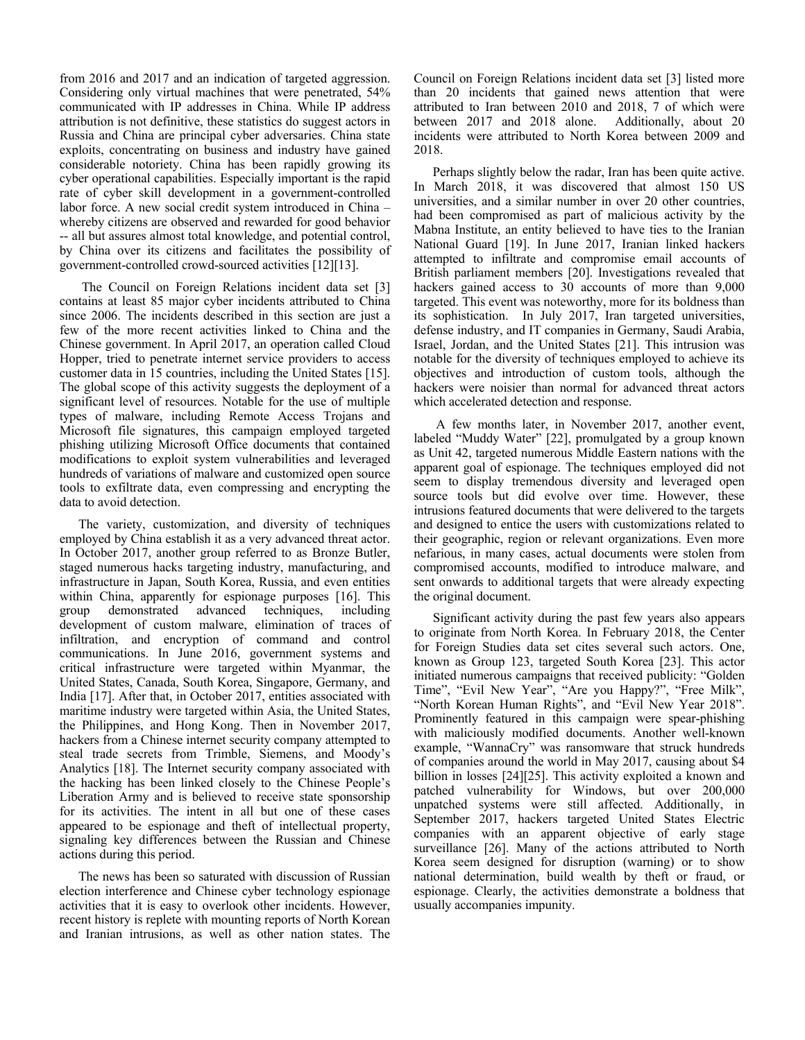from 2016 and 2017 and an indication of targeted aggression. Considering only virtual machines that were penetrated, 54% communicated with IP addresses in China. While IP address attribution is not definitive, these statistics do suggest actors in Russia and China are principal cyber adversaries. China state exploits, concentrating on business and industry have gained considerable notoriety. China has been rapidly growing its cyber operational capabilities. Especially important is the rapid rate of cyber skill development in a government-controlled labor force. A new social credit system introduced in China – whereby citizens are observed and rewarded for good behavior -- all but assures almost total knowledge, and potential control, by China over its citizens and facilitates the possibility of government-controlled crowd-sourced activities [12][13].

The Council on Foreign Relations incident data set [3] contains at least 85 major cyber incidents attributed to China since 2006. The incidents described in this section are just a few of the more recent activities linked to China and the Chinese government. In April 2017, an operation called Cloud Hopper, tried to penetrate internet service providers to access customer data in 15 countries, including the United States [15]. The global scope of this activity suggests the deployment of a significant level of resources. Notable for the use of multiple types of malware, including Remote Access Trojans and Microsoft file signatures, this campaign employed targeted phishing utilizing Microsoft Office documents that contained modifications to exploit system vulnerabilities and leveraged hundreds of variations of malware and customized open source tools to exfiltrate data, even compressing and encrypting the data to avoid detection.

The variety, customization, and diversity of techniques employed by China establish it as a very advanced threat actor. In October 2017, another group referred to as Bronze Butler, staged numerous hacks targeting industry, manufacturing, and infrastructure in Japan, South Korea, Russia, and even entities within China, apparently for espionage purposes [16]. This group demonstrated advanced techniques, including development of custom malware, elimination of traces of infiltration, and encryption of command and control communications. In June 2016, government systems and critical infrastructure were targeted within Myanmar, the United States, Canada, South Korea, Singapore, Germany, and India [17]. After that, in October 2017, entities associated with maritime industry were targeted within Asia, the United States, the Philippines, and Hong Kong. Then in November 2017, hackers from a Chinese internet security company attempted to steal trade secrets from Trimble, Siemens, and Moody's Analytics [18]. The Internet security company associated with the hacking has been linked closely to the Chinese People's Liberation Army and is believed to receive state sponsorship for its activities. The intent in all but one of these cases appeared to be espionage and theft of intellectual property, signaling key differences between the Russian and Chinese actions during this period.

The news has been so saturated with discussion of Russian election interference and Chinese cyber technology espionage activities that it is easy to overlook other incidents. However, recent history is replete with mounting reports of North Korean and Iranian intrusions, as well as other nation states. The

Council on Foreign Relations incident data set [3] listed more than 20 incidents that gained news attention that were attributed to Iran between 2010 and 2018, 7 of which were between 2017 and 2018 alone. Additionally, about 20 between  $2017$  and  $2018$  alone. incidents were attributed to North Korea between 2009 and 2018.

Perhaps slightly below the radar, Iran has been quite active. In March 2018, it was discovered that almost 150 US universities, and a similar number in over 20 other countries, had been compromised as part of malicious activity by the Mabna Institute, an entity believed to have ties to the Iranian National Guard [19]. In June 2017, Iranian linked hackers attempted to infiltrate and compromise email accounts of British parliament members [20]. Investigations revealed that hackers gained access to 30 accounts of more than 9,000 targeted. This event was noteworthy, more for its boldness than its sophistication. In July 2017, Iran targeted universities, defense industry, and IT companies in Germany, Saudi Arabia, Israel, Jordan, and the United States [21]. This intrusion was notable for the diversity of techniques employed to achieve its objectives and introduction of custom tools, although the hackers were noisier than normal for advanced threat actors which accelerated detection and response.

A few months later, in November 2017, another event, labeled "Muddy Water" [22], promulgated by a group known as Unit 42, targeted numerous Middle Eastern nations with the apparent goal of espionage. The techniques employed did not seem to display tremendous diversity and leveraged open source tools but did evolve over time. However, these intrusions featured documents that were delivered to the targets and designed to entice the users with customizations related to their geographic, region or relevant organizations. Even more nefarious, in many cases, actual documents were stolen from compromised accounts, modified to introduce malware, and sent onwards to additional targets that were already expecting the original document.

Significant activity during the past few years also appears to originate from North Korea. In February 2018, the Center for Foreign Studies data set cites several such actors. One, known as Group 123, targeted South Korea [23]. This actor initiated numerous campaigns that received publicity: "Golden Time", "Evil New Year", "Are you Happy?", "Free Milk", "North Korean Human Rights", and "Evil New Year 2018". Prominently featured in this campaign were spear-phishing with maliciously modified documents. Another well-known example, "WannaCry" was ransomware that struck hundreds of companies around the world in May 2017, causing about \$4 billion in losses [24][25]. This activity exploited a known and patched vulnerability for Windows, but over 200,000 unpatched systems were still affected. Additionally, in September 2017, hackers targeted United States Electric companies with an apparent objective of early stage surveillance [26]. Many of the actions attributed to North Korea seem designed for disruption (warning) or to show national determination, build wealth by theft or fraud, or espionage. Clearly, the activities demonstrate a boldness that usually accompanies impunity.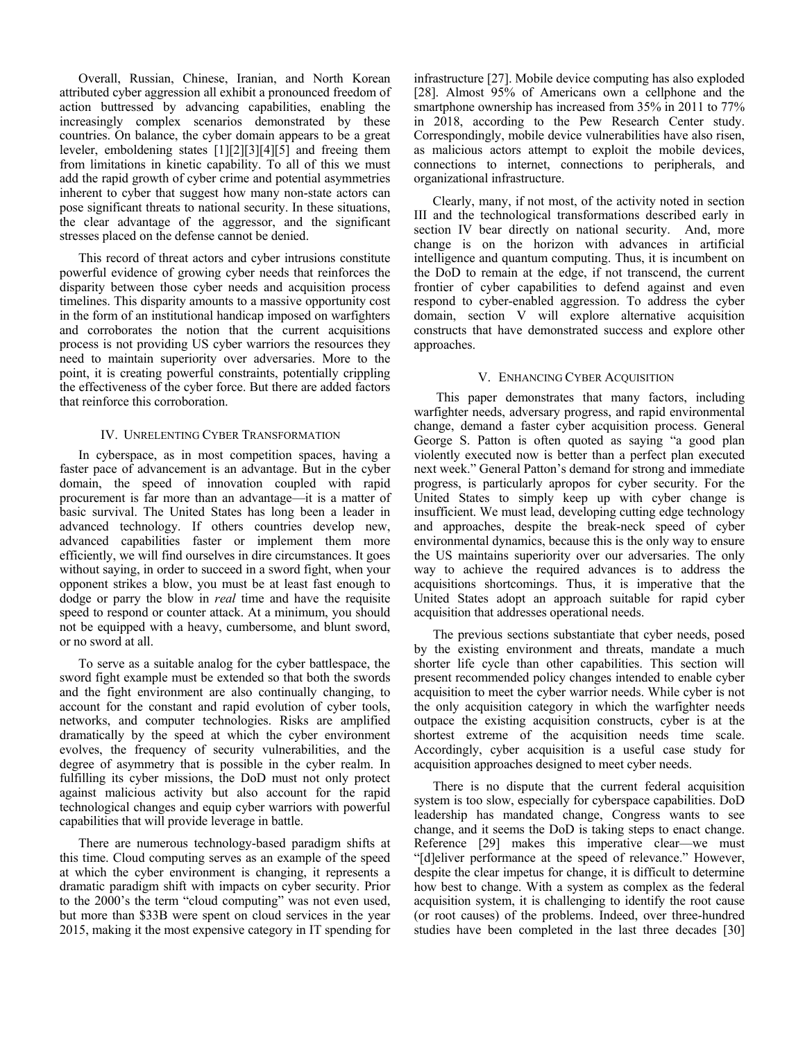Overall, Russian, Chinese, Iranian, and North Korean attributed cyber aggression all exhibit a pronounced freedom of action buttressed by advancing capabilities, enabling the increasingly complex scenarios demonstrated by these countries. On balance, the cyber domain appears to be a great leveler, emboldening states [1][2][3][4][5] and freeing them from limitations in kinetic capability. To all of this we must add the rapid growth of cyber crime and potential asymmetries inherent to cyber that suggest how many non-state actors can pose significant threats to national security. In these situations, the clear advantage of the aggressor, and the significant stresses placed on the defense cannot be denied.

This record of threat actors and cyber intrusions constitute powerful evidence of growing cyber needs that reinforces the disparity between those cyber needs and acquisition process timelines. This disparity amounts to a massive opportunity cost in the form of an institutional handicap imposed on warfighters and corroborates the notion that the current acquisitions process is not providing US cyber warriors the resources they need to maintain superiority over adversaries. More to the point, it is creating powerful constraints, potentially crippling the effectiveness of the cyber force. But there are added factors that reinforce this corroboration.

### IV. UNRELENTING CYBER TRANSFORMATION

In cyberspace, as in most competition spaces, having a faster pace of advancement is an advantage. But in the cyber domain, the speed of innovation coupled with rapid procurement is far more than an advantage—it is a matter of basic survival. The United States has long been a leader in advanced technology. If others countries develop new, advanced capabilities faster or implement them more efficiently, we will find ourselves in dire circumstances. It goes without saying, in order to succeed in a sword fight, when your opponent strikes a blow, you must be at least fast enough to dodge or parry the blow in *real* time and have the requisite speed to respond or counter attack. At a minimum, you should not be equipped with a heavy, cumbersome, and blunt sword, or no sword at all.

To serve as a suitable analog for the cyber battlespace, the sword fight example must be extended so that both the swords and the fight environment are also continually changing, to account for the constant and rapid evolution of cyber tools, networks, and computer technologies. Risks are amplified dramatically by the speed at which the cyber environment evolves, the frequency of security vulnerabilities, and the degree of asymmetry that is possible in the cyber realm. In fulfilling its cyber missions, the DoD must not only protect against malicious activity but also account for the rapid technological changes and equip cyber warriors with powerful capabilities that will provide leverage in battle.

There are numerous technology-based paradigm shifts at this time. Cloud computing serves as an example of the speed at which the cyber environment is changing, it represents a dramatic paradigm shift with impacts on cyber security. Prior to the 2000's the term "cloud computing" was not even used, but more than \$33B were spent on cloud services in the year 2015, making it the most expensive category in IT spending for

infrastructure [27]. Mobile device computing has also exploded [28]. Almost 95% of Americans own a cellphone and the smartphone ownership has increased from 35% in 2011 to 77% in 2018, according to the Pew Research Center study. Correspondingly, mobile device vulnerabilities have also risen, as malicious actors attempt to exploit the mobile devices, connections to internet, connections to peripherals, and organizational infrastructure.

Clearly, many, if not most, of the activity noted in section III and the technological transformations described early in section IV bear directly on national security. And, more change is on the horizon with advances in artificial intelligence and quantum computing. Thus, it is incumbent on the DoD to remain at the edge, if not transcend, the current frontier of cyber capabilities to defend against and even respond to cyber-enabled aggression. To address the cyber domain, section V will explore alternative acquisition constructs that have demonstrated success and explore other approaches.

#### V. ENHANCING CYBER ACOUISITION

This paper demonstrates that many factors, including warfighter needs, adversary progress, and rapid environmental change, demand a faster cyber acquisition process. General George S. Patton is often quoted as saying "a good plan violently executed now is better than a perfect plan executed next week." General Patton's demand for strong and immediate progress, is particularly apropos for cyber security. For the United States to simply keep up with cyber change is insufficient. We must lead, developing cutting edge technology and approaches, despite the break-neck speed of cyber environmental dynamics, because this is the only way to ensure the US maintains superiority over our adversaries. The only way to achieve the required advances is to address the acquisitions shortcomings. Thus, it is imperative that the United States adopt an approach suitable for rapid cyber acquisition that addresses operational needs.

The previous sections substantiate that cyber needs, posed by the existing environment and threats, mandate a much shorter life cycle than other capabilities. This section will present recommended policy changes intended to enable cyber acquisition to meet the cyber warrior needs. While cyber is not the only acquisition category in which the warfighter needs outpace the existing acquisition constructs, cyber is at the shortest extreme of the acquisition needs time scale. Accordingly, cyber acquisition is a useful case study for acquisition approaches designed to meet cyber needs.

There is no dispute that the current federal acquisition system is too slow, especially for cyberspace capabilities. DoD leadership has mandated change, Congress wants to see change, and it seems the DoD is taking steps to enact change. Reference [29] makes this imperative clear—we must "[d]eliver performance at the speed of relevance." However, despite the clear impetus for change, it is difficult to determine how best to change. With a system as complex as the federal acquisition system, it is challenging to identify the root cause (or root causes) of the problems. Indeed, over three-hundred studies have been completed in the last three decades [30]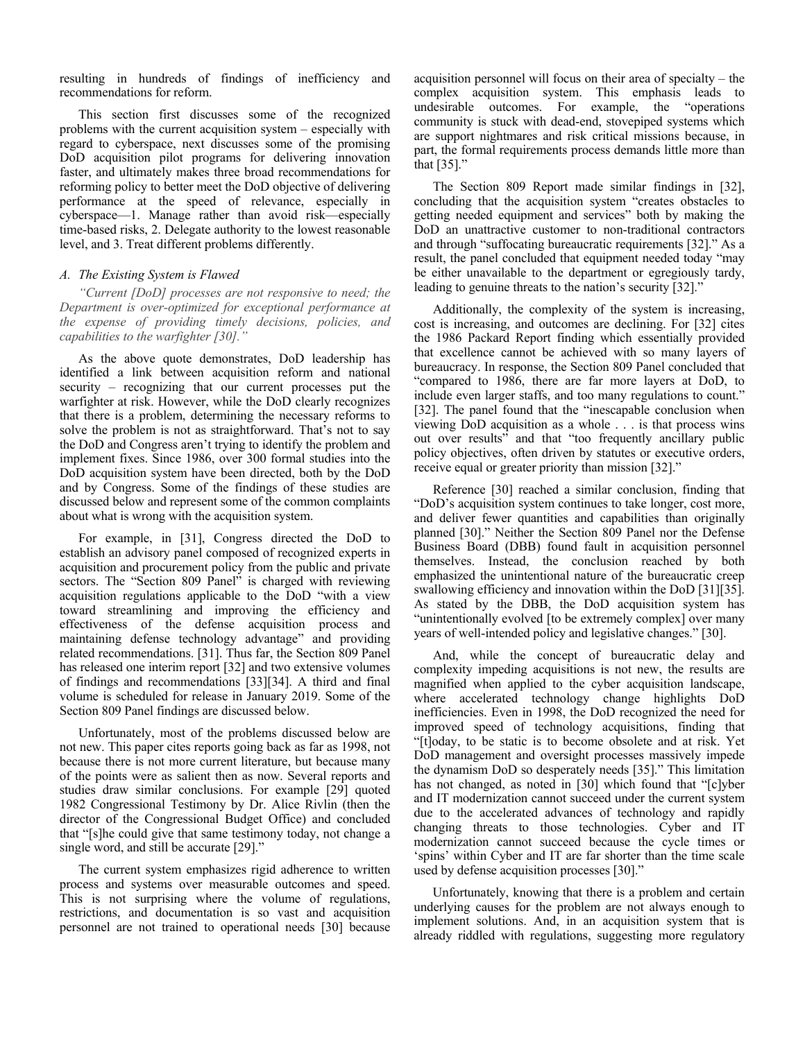resulting in hundreds of findings of inefficiency and recommendations for reform.

This section first discusses some of the recognized problems with the current acquisition system – especially with regard to cyberspace, next discusses some of the promising DoD acquisition pilot programs for delivering innovation faster, and ultimately makes three broad recommendations for reforming policy to better meet the DoD objective of delivering performance at the speed of relevance, especially in cyberspace—1. Manage rather than avoid risk—especially time-based risks, 2. Delegate authority to the lowest reasonable level, and 3. Treat different problems differently.

#### *A. The Existing System is Flawed*

*"Current [DoD] processes are not responsive to need; the Department is over-optimized for exceptional performance at the expense of providing timely decisions, policies, and capabilities to the warfighter [30]."*

As the above quote demonstrates, DoD leadership has identified a link between acquisition reform and national security – recognizing that our current processes put the warfighter at risk. However, while the DoD clearly recognizes that there is a problem, determining the necessary reforms to solve the problem is not as straightforward. That's not to say the DoD and Congress aren't trying to identify the problem and implement fixes. Since 1986, over 300 formal studies into the DoD acquisition system have been directed, both by the DoD and by Congress. Some of the findings of these studies are discussed below and represent some of the common complaints about what is wrong with the acquisition system.

For example, in [31], Congress directed the DoD to establish an advisory panel composed of recognized experts in acquisition and procurement policy from the public and private sectors. The "Section 809 Panel" is charged with reviewing acquisition regulations applicable to the DoD "with a view toward streamlining and improving the efficiency and effectiveness of the defense acquisition process and maintaining defense technology advantage" and providing related recommendations. [31]. Thus far, the Section 809 Panel has released one interim report [32] and two extensive volumes of findings and recommendations [33][34]. A third and final volume is scheduled for release in January 2019. Some of the Section 809 Panel findings are discussed below.

Unfortunately, most of the problems discussed below are not new. This paper cites reports going back as far as 1998, not because there is not more current literature, but because many of the points were as salient then as now. Several reports and studies draw similar conclusions. For example [29] quoted 1982 Congressional Testimony by Dr. Alice Rivlin (then the director of the Congressional Budget Office) and concluded that "[s]he could give that same testimony today, not change a single word, and still be accurate [29]."

The current system emphasizes rigid adherence to written process and systems over measurable outcomes and speed. This is not surprising where the volume of regulations, restrictions, and documentation is so vast and acquisition personnel are not trained to operational needs [30] because

acquisition personnel will focus on their area of specialty – the complex acquisition system. This emphasis leads to undesirable outcomes. For example, the "operations community is stuck with dead-end, stovepiped systems which are support nightmares and risk critical missions because, in part, the formal requirements process demands little more than that [35]."

The Section 809 Report made similar findings in [32], concluding that the acquisition system "creates obstacles to getting needed equipment and services" both by making the DoD an unattractive customer to non-traditional contractors and through "suffocating bureaucratic requirements [32]." As a result, the panel concluded that equipment needed today "may be either unavailable to the department or egregiously tardy, leading to genuine threats to the nation's security [32]."

Additionally, the complexity of the system is increasing, cost is increasing, and outcomes are declining. For [32] cites the 1986 Packard Report finding which essentially provided that excellence cannot be achieved with so many layers of bureaucracy. In response, the Section 809 Panel concluded that "compared to 1986, there are far more layers at DoD, to include even larger staffs, and too many regulations to count." [32]. The panel found that the "inescapable conclusion when viewing DoD acquisition as a whole . . . is that process wins out over results" and that "too frequently ancillary public policy objectives, often driven by statutes or executive orders, receive equal or greater priority than mission [32]."

Reference [30] reached a similar conclusion, finding that "DoD's acquisition system continues to take longer, cost more, and deliver fewer quantities and capabilities than originally planned [30]." Neither the Section 809 Panel nor the Defense Business Board (DBB) found fault in acquisition personnel themselves. Instead, the conclusion reached by both emphasized the unintentional nature of the bureaucratic creep swallowing efficiency and innovation within the DoD [31][35]. As stated by the DBB, the DoD acquisition system has "unintentionally evolved [to be extremely complex] over many years of well-intended policy and legislative changes." [30].

And, while the concept of bureaucratic delay and complexity impeding acquisitions is not new, the results are magnified when applied to the cyber acquisition landscape, where accelerated technology change highlights DoD inefficiencies. Even in 1998, the DoD recognized the need for improved speed of technology acquisitions, finding that "[t]oday, to be static is to become obsolete and at risk. Yet DoD management and oversight processes massively impede the dynamism DoD so desperately needs [35]." This limitation has not changed, as noted in [30] which found that "[c]yber and IT modernization cannot succeed under the current system due to the accelerated advances of technology and rapidly changing threats to those technologies. Cyber and IT modernization cannot succeed because the cycle times or 'spins' within Cyber and IT are far shorter than the time scale used by defense acquisition processes [30]."

Unfortunately, knowing that there is a problem and certain underlying causes for the problem are not always enough to implement solutions. And, in an acquisition system that is already riddled with regulations, suggesting more regulatory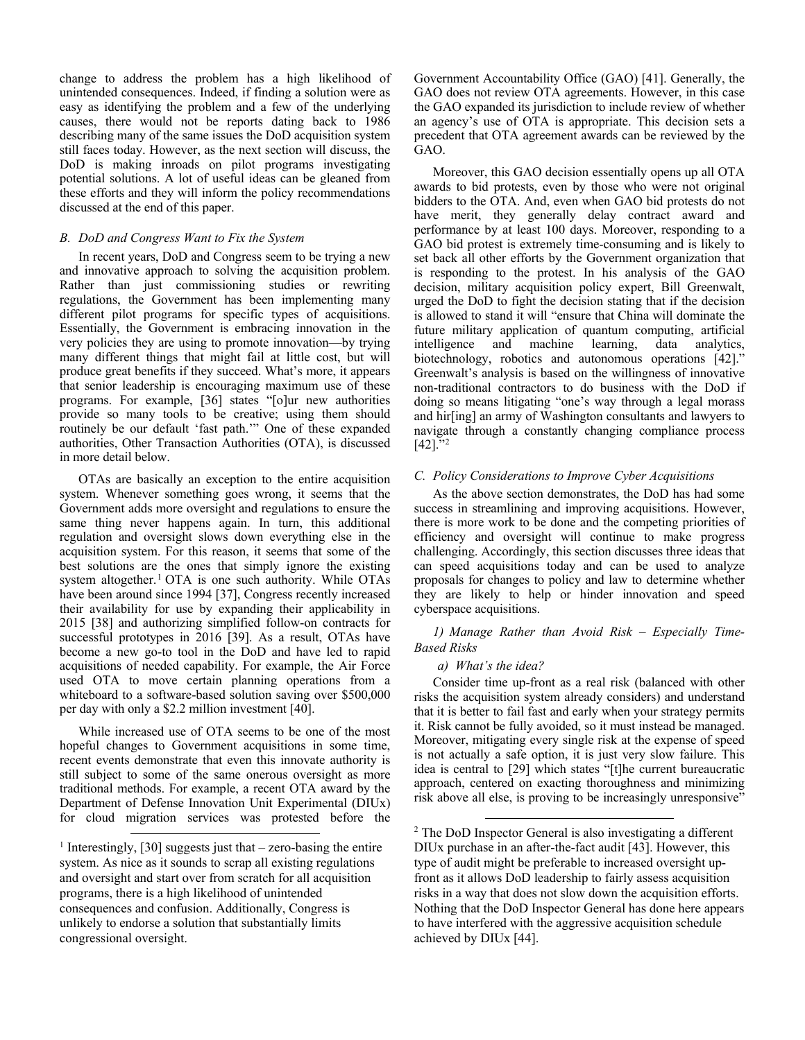change to address the problem has a high likelihood of unintended consequences. Indeed, if finding a solution were as easy as identifying the problem and a few of the underlying causes, there would not be reports dating back to 1986 describing many of the same issues the DoD acquisition system still faces today. However, as the next section will discuss, the DoD is making inroads on pilot programs investigating potential solutions. A lot of useful ideas can be gleaned from these efforts and they will inform the policy recommendations discussed at the end of this paper.

#### *B. DoD and Congress Want to Fix the System*

In recent years, DoD and Congress seem to be trying a new and innovative approach to solving the acquisition problem. Rather than just commissioning studies or rewriting regulations, the Government has been implementing many different pilot programs for specific types of acquisitions. Essentially, the Government is embracing innovation in the very policies they are using to promote innovation—by trying many different things that might fail at little cost, but will produce great benefits if they succeed. What's more, it appears that senior leadership is encouraging maximum use of these programs. For example, [36] states "[o]ur new authorities provide so many tools to be creative; using them should routinely be our default 'fast path.'" One of these expanded authorities, Other Transaction Authorities (OTA), is discussed in more detail below.

OTAs are basically an exception to the entire acquisition system. Whenever something goes wrong, it seems that the Government adds more oversight and regulations to ensure the same thing never happens again. In turn, this additional regulation and oversight slows down everything else in the acquisition system. For this reason, it seems that some of the best solutions are the ones that simply ignore the existing system altogether.<sup>[1](#page-5-0)</sup> OTA is one such authority. While OTAs have been around since 1994 [37], Congress recently increased their availability for use by expanding their applicability in 2015 [38] and authorizing simplified follow-on contracts for successful prototypes in 2016 [39]. As a result, OTAs have become a new go-to tool in the DoD and have led to rapid acquisitions of needed capability. For example, the Air Force used OTA to move certain planning operations from a whiteboard to a software-based solution saving over \$500,000 per day with only a \$2.2 million investment [40].

While increased use of OTA seems to be one of the most hopeful changes to Government acquisitions in some time, recent events demonstrate that even this innovate authority is still subject to some of the same onerous oversight as more traditional methods. For example, a recent OTA award by the Department of Defense Innovation Unit Experimental (DIUx) for cloud migration services was protested before the Government Accountability Office (GAO) [41]. Generally, the GAO does not review OTA agreements. However, in this case the GAO expanded its jurisdiction to include review of whether an agency's use of OTA is appropriate. This decision sets a precedent that OTA agreement awards can be reviewed by the GAO.

Moreover, this GAO decision essentially opens up all OTA awards to bid protests, even by those who were not original bidders to the OTA. And, even when GAO bid protests do not have merit, they generally delay contract award and performance by at least 100 days. Moreover, responding to a GAO bid protest is extremely time-consuming and is likely to set back all other efforts by the Government organization that is responding to the protest. In his analysis of the GAO decision, military acquisition policy expert, Bill Greenwalt, urged the DoD to fight the decision stating that if the decision is allowed to stand it will "ensure that China will dominate the future military application of quantum computing, artificial intelligence and machine learning, data analytics, biotechnology, robotics and autonomous operations [42]." Greenwalt's analysis is based on the willingness of innovative non-traditional contractors to do business with the DoD if doing so means litigating "one's way through a legal morass and hir[ing] an army of Washington consultants and lawyers to navigate through a constantly changing compliance process  $[42]$  $[42]$  $[42]$ ."<sup>2</sup>

#### *C. Policy Considerations to Improve Cyber Acquisitions*

As the above section demonstrates, the DoD has had some success in streamlining and improving acquisitions. However, there is more work to be done and the competing priorities of efficiency and oversight will continue to make progress challenging. Accordingly, this section discusses three ideas that can speed acquisitions today and can be used to analyze proposals for changes to policy and law to determine whether they are likely to help or hinder innovation and speed cyberspace acquisitions.

*1) Manage Rather than Avoid Risk – Especially Time-Based Risks*

#### *a) What's the idea?*

Consider time up-front as a real risk (balanced with other risks the acquisition system already considers) and understand that it is better to fail fast and early when your strategy permits it. Risk cannot be fully avoided, so it must instead be managed. Moreover, mitigating every single risk at the expense of speed is not actually a safe option, it is just very slow failure. This idea is central to [29] which states "[t]he current bureaucratic approach, centered on exacting thoroughness and minimizing risk above all else, is proving to be increasingly unresponsive"

<span id="page-5-1"></span><span id="page-5-0"></span><sup>&</sup>lt;sup>1</sup> Interestingly, [30] suggests just that  $-$  zero-basing the entire system. As nice as it sounds to scrap all existing regulations and oversight and start over from scratch for all acquisition programs, there is a high likelihood of unintended consequences and confusion. Additionally, Congress is unlikely to endorse a solution that substantially limits congressional oversight.

<sup>&</sup>lt;sup>2</sup> The DoD Inspector General is also investigating a different DIUx purchase in an after-the-fact audit [43]. However, this type of audit might be preferable to increased oversight upfront as it allows DoD leadership to fairly assess acquisition risks in a way that does not slow down the acquisition efforts. Nothing that the DoD Inspector General has done here appears to have interfered with the aggressive acquisition schedule achieved by DIUx [44].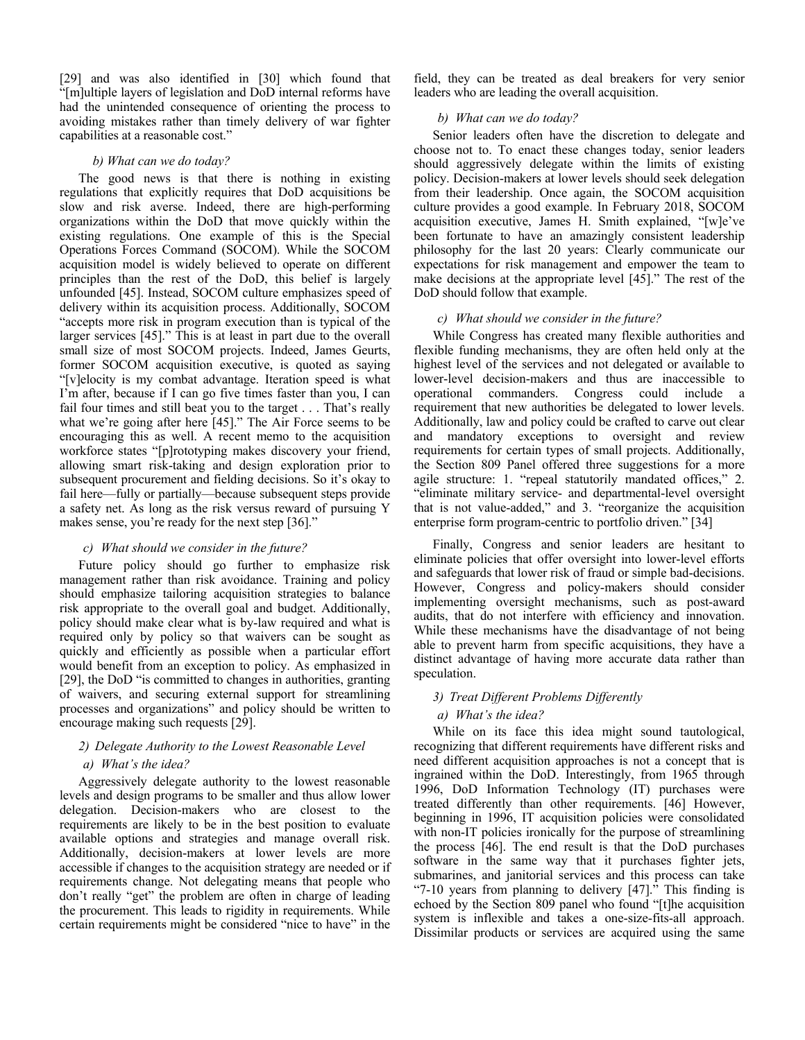[29] and was also identified in [30] which found that "[m]ultiple layers of legislation and DoD internal reforms have had the unintended consequence of orienting the process to avoiding mistakes rather than timely delivery of war fighter capabilities at a reasonable cost."

#### *b) What can we do today?*

The good news is that there is nothing in existing regulations that explicitly requires that DoD acquisitions be slow and risk averse. Indeed, there are high-performing organizations within the DoD that move quickly within the existing regulations. One example of this is the Special Operations Forces Command (SOCOM). While the SOCOM acquisition model is widely believed to operate on different principles than the rest of the DoD, this belief is largely unfounded [45]. Instead, SOCOM culture emphasizes speed of delivery within its acquisition process. Additionally, SOCOM "accepts more risk in program execution than is typical of the larger services [45]." This is at least in part due to the overall small size of most SOCOM projects. Indeed, James Geurts, former SOCOM acquisition executive, is quoted as saying "[v]elocity is my combat advantage. Iteration speed is what I'm after, because if I can go five times faster than you, I can fail four times and still beat you to the target . . . That's really what we're going after here [45]." The Air Force seems to be encouraging this as well. A recent memo to the acquisition workforce states "[p]rototyping makes discovery your friend, allowing smart risk-taking and design exploration prior to subsequent procurement and fielding decisions. So it's okay to fail here—fully or partially—because subsequent steps provide a safety net. As long as the risk versus reward of pursuing Y makes sense, you're ready for the next step [36]."

#### *c) What should we consider in the future?*

Future policy should go further to emphasize risk management rather than risk avoidance. Training and policy should emphasize tailoring acquisition strategies to balance risk appropriate to the overall goal and budget. Additionally, policy should make clear what is by-law required and what is required only by policy so that waivers can be sought as quickly and efficiently as possible when a particular effort would benefit from an exception to policy. As emphasized in [29], the DoD "is committed to changes in authorities, granting of waivers, and securing external support for streamlining processes and organizations" and policy should be written to encourage making such requests [29].

# *2) Delegate Authority to the Lowest Reasonable Level*

## *a) What's the idea?*

Aggressively delegate authority to the lowest reasonable levels and design programs to be smaller and thus allow lower delegation. Decision-makers who are closest to the requirements are likely to be in the best position to evaluate available options and strategies and manage overall risk. Additionally, decision-makers at lower levels are more accessible if changes to the acquisition strategy are needed or if requirements change. Not delegating means that people who don't really "get" the problem are often in charge of leading the procurement. This leads to rigidity in requirements. While certain requirements might be considered "nice to have" in the

field, they can be treated as deal breakers for very senior leaders who are leading the overall acquisition.

# *b) What can we do today?*

Senior leaders often have the discretion to delegate and choose not to. To enact these changes today, senior leaders should aggressively delegate within the limits of existing policy. Decision-makers at lower levels should seek delegation from their leadership. Once again, the SOCOM acquisition culture provides a good example. In February 2018, SOCOM acquisition executive, James H. Smith explained, "[w]e've been fortunate to have an amazingly consistent leadership philosophy for the last 20 years: Clearly communicate our expectations for risk management and empower the team to make decisions at the appropriate level [45]." The rest of the DoD should follow that example.

#### *c) What should we consider in the future?*

While Congress has created many flexible authorities and flexible funding mechanisms, they are often held only at the highest level of the services and not delegated or available to lower-level decision-makers and thus are inaccessible to operational commanders. Congress could include a requirement that new authorities be delegated to lower levels. Additionally, law and policy could be crafted to carve out clear and mandatory exceptions to oversight and review requirements for certain types of small projects. Additionally, the Section 809 Panel offered three suggestions for a more agile structure: 1. "repeal statutorily mandated offices," 2. "eliminate military service- and departmental-level oversight that is not value-added," and 3. "reorganize the acquisition enterprise form program-centric to portfolio driven." [34]

Finally, Congress and senior leaders are hesitant to eliminate policies that offer oversight into lower-level efforts and safeguards that lower risk of fraud or simple bad-decisions. However, Congress and policy-makers should consider implementing oversight mechanisms, such as post-award audits, that do not interfere with efficiency and innovation. While these mechanisms have the disadvantage of not being able to prevent harm from specific acquisitions, they have a distinct advantage of having more accurate data rather than speculation.

#### *3) Treat Different Problems Differently*

# *a) What's the idea?*

While on its face this idea might sound tautological, recognizing that different requirements have different risks and need different acquisition approaches is not a concept that is ingrained within the DoD. Interestingly, from 1965 through 1996, DoD Information Technology (IT) purchases were treated differently than other requirements. [46] However, beginning in 1996, IT acquisition policies were consolidated with non-IT policies ironically for the purpose of streamlining the process [46]. The end result is that the DoD purchases software in the same way that it purchases fighter jets, submarines, and janitorial services and this process can take "7-10 years from planning to delivery [47]." This finding is echoed by the Section 809 panel who found "[t]he acquisition system is inflexible and takes a one-size-fits-all approach. Dissimilar products or services are acquired using the same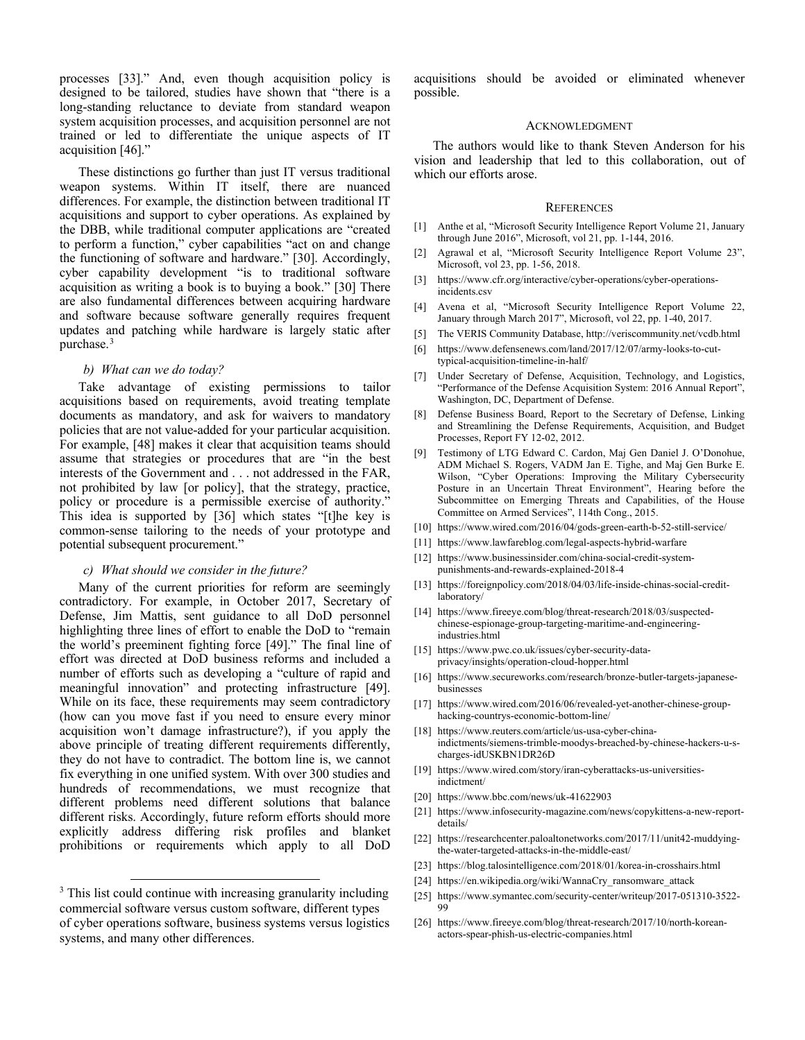processes [33]." And, even though acquisition policy is designed to be tailored, studies have shown that "there is a long-standing reluctance to deviate from standard weapon system acquisition processes, and acquisition personnel are not trained or led to differentiate the unique aspects of IT acquisition [46]."

These distinctions go further than just IT versus traditional weapon systems. Within IT itself, there are nuanced differences. For example, the distinction between traditional IT acquisitions and support to cyber operations. As explained by the DBB, while traditional computer applications are "created to perform a function," cyber capabilities "act on and change the functioning of software and hardware." [30]. Accordingly, cyber capability development "is to traditional software acquisition as writing a book is to buying a book." [30] There are also fundamental differences between acquiring hardware and software because software generally requires frequent updates and patching while hardware is largely static after purchase[.3](#page-7-0)

#### *b) What can we do today?*

Take advantage of existing permissions to tailor acquisitions based on requirements, avoid treating template documents as mandatory, and ask for waivers to mandatory policies that are not value-added for your particular acquisition. For example, [48] makes it clear that acquisition teams should assume that strategies or procedures that are "in the best interests of the Government and . . . not addressed in the FAR, not prohibited by law [or policy], that the strategy, practice, policy or procedure is a permissible exercise of authority." This idea is supported by [36] which states "[t]he key is common-sense tailoring to the needs of your prototype and potential subsequent procurement."

#### *c) What should we consider in the future?*

Many of the current priorities for reform are seemingly contradictory. For example, in October 2017, Secretary of Defense, Jim Mattis, sent guidance to all DoD personnel highlighting three lines of effort to enable the DoD to "remain the world's preeminent fighting force [49]." The final line of effort was directed at DoD business reforms and included a number of efforts such as developing a "culture of rapid and meaningful innovation" and protecting infrastructure [49]. While on its face, these requirements may seem contradictory (how can you move fast if you need to ensure every minor acquisition won't damage infrastructure?), if you apply the above principle of treating different requirements differently, they do not have to contradict. The bottom line is, we cannot fix everything in one unified system. With over 300 studies and hundreds of recommendations, we must recognize that different problems need different solutions that balance different risks. Accordingly, future reform efforts should more explicitly address differing risk profiles and blanket prohibitions or requirements which apply to all DoD

acquisitions should be avoided or eliminated whenever possible.

#### ACKNOWLEDGMENT

The authors would like to thank Steven Anderson for his vision and leadership that led to this collaboration, out of which our efforts arose.

#### **REFERENCES**

- [1] Anthe et al, "Microsoft Security Intelligence Report Volume 21, January through June 2016", Microsoft, vol 21, pp. 1-144, 2016.
- [2] Agrawal et al, "Microsoft Security Intelligence Report Volume 23", Microsoft, vol 23, pp. 1-56, 2018.
- [3] https://www.cfr.org/interactive/cyber-operations/cyber-operationsincidents.csv
- [4] Avena et al, "Microsoft Security Intelligence Report Volume 22, January through March 2017", Microsoft, vol 22, pp. 1-40, 2017.
- [5] The VERIS Community Database, http://veriscommunity.net/vcdb.html
- [6] https://www.defensenews.com/land/2017/12/07/army-looks-to-cuttypical-acquisition-timeline-in-half/
- [7] Under Secretary of Defense, Acquisition, Technology, and Logistics, "Performance of the Defense Acquisition System: 2016 Annual Report", Washington, DC, Department of Defense.
- [8] Defense Business Board, Report to the Secretary of Defense, Linking and Streamlining the Defense Requirements, Acquisition, and Budget Processes, Report FY 12-02, 2012.
- [9] Testimony of LTG Edward C. Cardon, Maj Gen Daniel J. O'Donohue, ADM Michael S. Rogers, VADM Jan E. Tighe, and Maj Gen Burke E. Wilson, "Cyber Operations: Improving the Military Cybersecurity Posture in an Uncertain Threat Environment", Hearing before the Subcommittee on Emerging Threats and Capabilities, of the House Committee on Armed Services", 114th Cong., 2015.
- [10] https://www.wired.com/2016/04/gods-green-earth-b-52-still-service/
- [11] https://www.lawfareblog.com/legal-aspects-hybrid-warfare
- [12] https://www.businessinsider.com/china-social-credit-systempunishments-and-rewards-explained-2018-4
- [13] https://foreignpolicy.com/2018/04/03/life-inside-chinas-social-creditlaboratory/
- [14] https://www.fireeye.com/blog/threat-research/2018/03/suspectedchinese-espionage-group-targeting-maritime-and-engineeringindustries.html
- [15] https://www.pwc.co.uk/issues/cyber-security-dataprivacy/insights/operation-cloud-hopper.html
- [16] https://www.secureworks.com/research/bronze-butler-targets-japanesebusinesses
- [17] https://www.wired.com/2016/06/revealed-yet-another-chinese-grouphacking-countrys-economic-bottom-line/
- [18] https://www.reuters.com/article/us-usa-cyber-chinaindictments/siemens-trimble-moodys-breached-by-chinese-hackers-u-scharges-idUSKBN1DR26D
- [19] https://www.wired.com/story/iran-cyberattacks-us-universitiesindictment/
- [20] https://www.bbc.com/news/uk-41622903
- [21] https://www.infosecurity-magazine.com/news/copykittens-a-new-reportdetails/
- [22] https://researchcenter.paloaltonetworks.com/2017/11/unit42-muddyingthe-water-targeted-attacks-in-the-middle-east/
- [23] https://blog.talosintelligence.com/2018/01/korea-in-crosshairs.html
- [24] https://en.wikipedia.org/wiki/WannaCry\_ransomware\_attack
- [25] https://www.symantec.com/security-center/writeup/2017-051310-3522- 99
- [26] https://www.fireeye.com/blog/threat-research/2017/10/north-koreanactors-spear-phish-us-electric-companies.html

<span id="page-7-0"></span><sup>&</sup>lt;sup>3</sup> This list could continue with increasing granularity including commercial software versus custom software, different types of cyber operations software, business systems versus logistics systems, and many other differences.